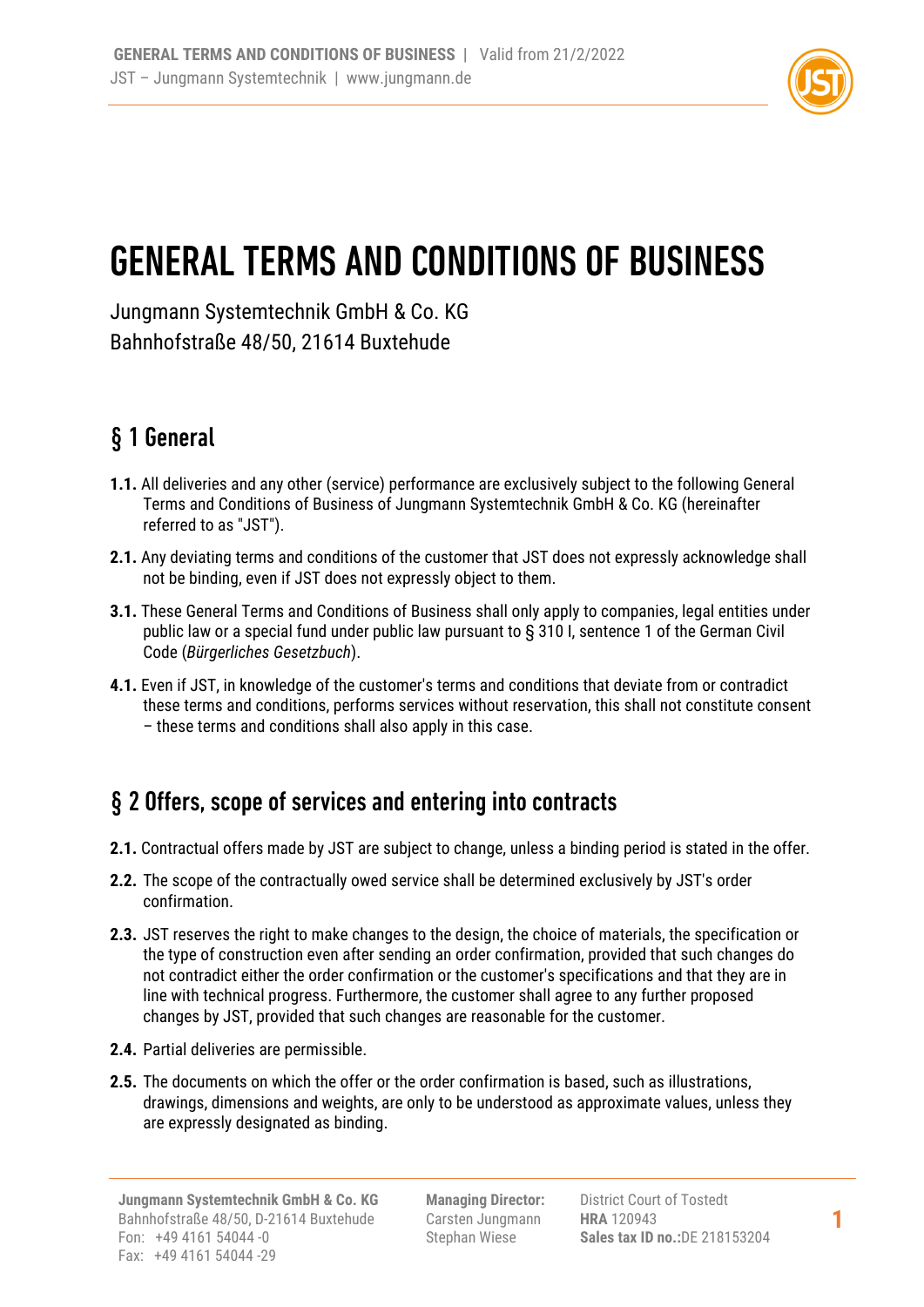

# GENERAL TERMS AND CONDITIONS OF BUSINESS

Jungmann Systemtechnik GmbH & Co. KG Bahnhofstraße 48/50, 21614 Buxtehude

## § 1 General

- **1.1.** All deliveries and any other (service) performance are exclusively subject to the following General Terms and Conditions of Business of Jungmann Systemtechnik GmbH & Co. KG (hereinafter referred to as "JST").
- **2.1.** Any deviating terms and conditions of the customer that JST does not expressly acknowledge shall not be binding, even if JST does not expressly object to them.
- **3.1.** These General Terms and Conditions of Business shall only apply to companies, legal entities under public law or a special fund under public law pursuant to § 310 I, sentence 1 of the German Civil Code (*Bürgerliches Gesetzbuch*).
- **4.1.** Even if JST, in knowledge of the customer's terms and conditions that deviate from or contradict these terms and conditions, performs services without reservation, this shall not constitute consent – these terms and conditions shall also apply in this case.

#### § 2 Offers, scope of services and entering into contracts

- **2.1.** Contractual offers made by JST are subject to change, unless a binding period is stated in the offer.
- **2.2.** The scope of the contractually owed service shall be determined exclusively by JST's order confirmation.
- **2.3.** JST reserves the right to make changes to the design, the choice of materials, the specification or the type of construction even after sending an order confirmation, provided that such changes do not contradict either the order confirmation or the customer's specifications and that they are in line with technical progress. Furthermore, the customer shall agree to any further proposed changes by JST, provided that such changes are reasonable for the customer.
- **2.4.** Partial deliveries are permissible.
- **2.5.** The documents on which the offer or the order confirmation is based, such as illustrations, drawings, dimensions and weights, are only to be understood as approximate values, unless they are expressly designated as binding.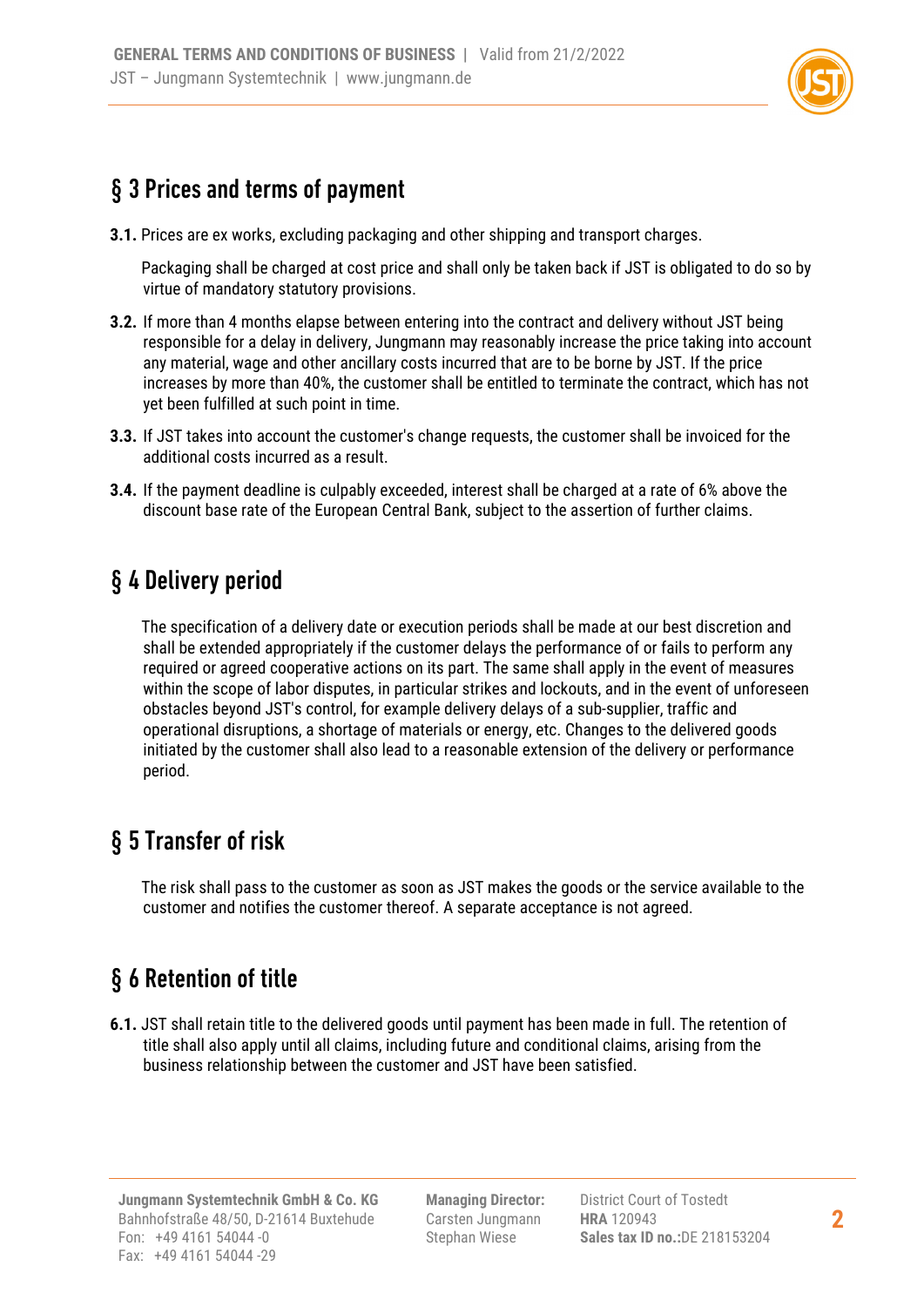

#### § 3 Prices and terms of payment

**3.1.** Prices are ex works, excluding packaging and other shipping and transport charges.

 Packaging shall be charged at cost price and shall only be taken back if JST is obligated to do so by virtue of mandatory statutory provisions.

- **3.2.** If more than 4 months elapse between entering into the contract and delivery without JST being responsible for a delay in delivery, Jungmann may reasonably increase the price taking into account any material, wage and other ancillary costs incurred that are to be borne by JST. If the price increases by more than 40%, the customer shall be entitled to terminate the contract, which has not yet been fulfilled at such point in time.
- **3.3.** If JST takes into account the customer's change requests, the customer shall be invoiced for the additional costs incurred as a result.
- **3.4.** If the payment deadline is culpably exceeded, interest shall be charged at a rate of 6% above the discount base rate of the European Central Bank, subject to the assertion of further claims.

## § 4 Delivery period

The specification of a delivery date or execution periods shall be made at our best discretion and shall be extended appropriately if the customer delays the performance of or fails to perform any required or agreed cooperative actions on its part. The same shall apply in the event of measures within the scope of labor disputes, in particular strikes and lockouts, and in the event of unforeseen obstacles beyond JST's control, for example delivery delays of a sub-supplier, traffic and operational disruptions, a shortage of materials or energy, etc. Changes to the delivered goods initiated by the customer shall also lead to a reasonable extension of the delivery or performance period.

### § 5 Transfer of risk

The risk shall pass to the customer as soon as JST makes the goods or the service available to the customer and notifies the customer thereof. A separate acceptance is not agreed.

## § 6 Retention of title

**6.1.** JST shall retain title to the delivered goods until payment has been made in full. The retention of title shall also apply until all claims, including future and conditional claims, arising from the business relationship between the customer and JST have been satisfied.

**Managing Director:** Carsten Jungmann Stephan Wiese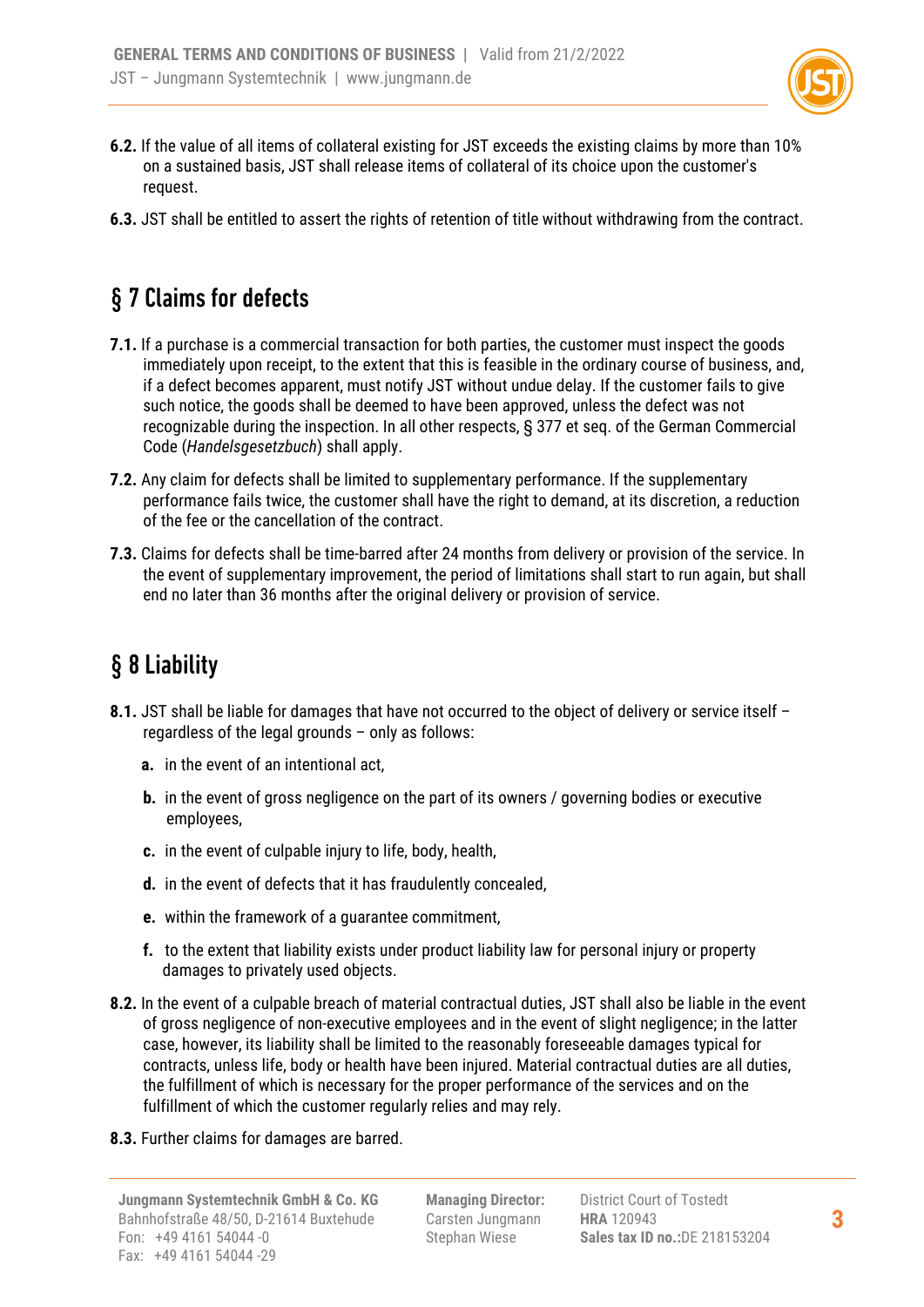

- **6.2.** If the value of all items of collateral existing for JST exceeds the existing claims by more than 10% on a sustained basis, JST shall release items of collateral of its choice upon the customer's request.
- **6.3.** JST shall be entitled to assert the rights of retention of title without withdrawing from the contract.

## § 7 Claims for defects

- **7.1.** If a purchase is a commercial transaction for both parties, the customer must inspect the goods immediately upon receipt, to the extent that this is feasible in the ordinary course of business, and, if a defect becomes apparent, must notify JST without undue delay. If the customer fails to give such notice, the goods shall be deemed to have been approved, unless the defect was not recognizable during the inspection. In all other respects, § 377 et seq. of the German Commercial Code (*Handelsgesetzbuch*) shall apply.
- **7.2.** Any claim for defects shall be limited to supplementary performance. If the supplementary performance fails twice, the customer shall have the right to demand, at its discretion, a reduction of the fee or the cancellation of the contract.
- **7.3.** Claims for defects shall be time-barred after 24 months from delivery or provision of the service. In the event of supplementary improvement, the period of limitations shall start to run again, but shall end no later than 36 months after the original delivery or provision of service.

## § 8 Liability

- 8.1. JST shall be liable for damages that have not occurred to the object of delivery or service itself regardless of the legal grounds – only as follows:
	- **a.** in the event of an intentional act,
	- **b.** in the event of gross negligence on the part of its owners / governing bodies or executive employees,
	- **c.** in the event of culpable injury to life, body, health,
	- **d.** in the event of defects that it has fraudulently concealed,
	- **e.** within the framework of a guarantee commitment,
	- **f.** to the extent that liability exists under product liability law for personal injury or property damages to privately used objects.
- **8.2.** In the event of a culpable breach of material contractual duties, JST shall also be liable in the event of gross negligence of non-executive employees and in the event of slight negligence; in the latter case, however, its liability shall be limited to the reasonably foreseeable damages typical for contracts, unless life, body or health have been injured. Material contractual duties are all duties, the fulfillment of which is necessary for the proper performance of the services and on the fulfillment of which the customer regularly relies and may rely.
- **8.3.** Further claims for damages are barred.